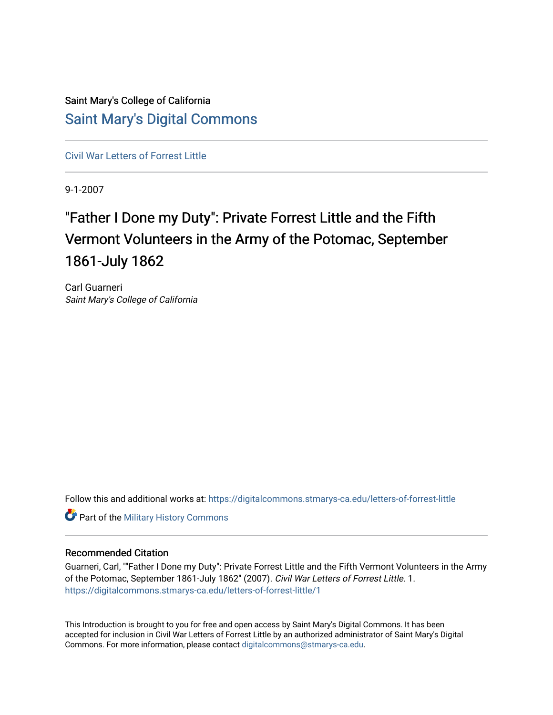## Saint Mary's College of California [Saint Mary's Digital Commons](https://digitalcommons.stmarys-ca.edu/)

[Civil War Letters of Forrest Little](https://digitalcommons.stmarys-ca.edu/letters-of-forrest-little) 

9-1-2007

# "Father I Done my Duty": Private Forrest Little and the Fifth Vermont Volunteers in the Army of the Potomac, September 1861-July 1862

Carl Guarneri Saint Mary's College of California

Follow this and additional works at: [https://digitalcommons.stmarys-ca.edu/letters-of-forrest-little](https://digitalcommons.stmarys-ca.edu/letters-of-forrest-little?utm_source=digitalcommons.stmarys-ca.edu%2Fletters-of-forrest-little%2F1&utm_medium=PDF&utm_campaign=PDFCoverPages) 

**Part of the Military History Commons** 

#### Recommended Citation

Guarneri, Carl, ""Father I Done my Duty": Private Forrest Little and the Fifth Vermont Volunteers in the Army of the Potomac, September 1861-July 1862" (2007). Civil War Letters of Forrest Little. 1. [https://digitalcommons.stmarys-ca.edu/letters-of-forrest-little/1](https://digitalcommons.stmarys-ca.edu/letters-of-forrest-little/1?utm_source=digitalcommons.stmarys-ca.edu%2Fletters-of-forrest-little%2F1&utm_medium=PDF&utm_campaign=PDFCoverPages) 

This Introduction is brought to you for free and open access by Saint Mary's Digital Commons. It has been accepted for inclusion in Civil War Letters of Forrest Little by an authorized administrator of Saint Mary's Digital Commons. For more information, please contact [digitalcommons@stmarys-ca.edu](mailto:digitalcommons@stmarys-ca.edu).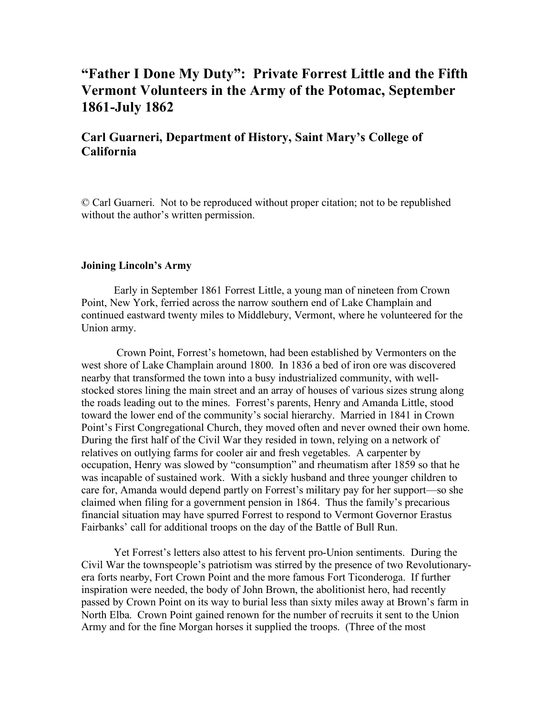## **"Father I Done My Duty": Private Forrest Little and the Fifth Vermont Volunteers in the Army of the Potomac, September 1861-July 1862**

### **Carl Guarneri, Department of History, Saint Mary's College of California**

© Carl Guarneri. Not to be reproduced without proper citation; not to be republished without the author's written permission.

#### **Joining Lincoln's Army**

Early in September 1861 Forrest Little, a young man of nineteen from Crown Point, New York, ferried across the narrow southern end of Lake Champlain and continued eastward twenty miles to Middlebury, Vermont, where he volunteered for the Union army.

Crown Point, Forrest's hometown, had been established by Vermonters on the west shore of Lake Champlain around 1800. In 1836 a bed of iron ore was discovered nearby that transformed the town into a busy industrialized community, with wellstocked stores lining the main street and an array of houses of various sizes strung along the roads leading out to the mines. Forrest's parents, Henry and Amanda Little, stood toward the lower end of the community's social hierarchy. Married in 1841 in Crown Point's First Congregational Church, they moved often and never owned their own home. During the first half of the Civil War they resided in town, relying on a network of relatives on outlying farms for cooler air and fresh vegetables. A carpenter by occupation, Henry was slowed by "consumption" and rheumatism after 1859 so that he was incapable of sustained work. With a sickly husband and three younger children to care for, Amanda would depend partly on Forrest's military pay for her support—so she claimed when filing for a government pension in 1864. Thus the family's precarious financial situation may have spurred Forrest to respond to Vermont Governor Erastus Fairbanks' call for additional troops on the day of the Battle of Bull Run.

Yet Forrest's letters also attest to his fervent pro-Union sentiments. During the Civil War the townspeople's patriotism was stirred by the presence of two Revolutionaryera forts nearby, Fort Crown Point and the more famous Fort Ticonderoga. If further inspiration were needed, the body of John Brown, the abolitionist hero, had recently passed by Crown Point on its way to burial less than sixty miles away at Brown's farm in North Elba. Crown Point gained renown for the number of recruits it sent to the Union Army and for the fine Morgan horses it supplied the troops. (Three of the most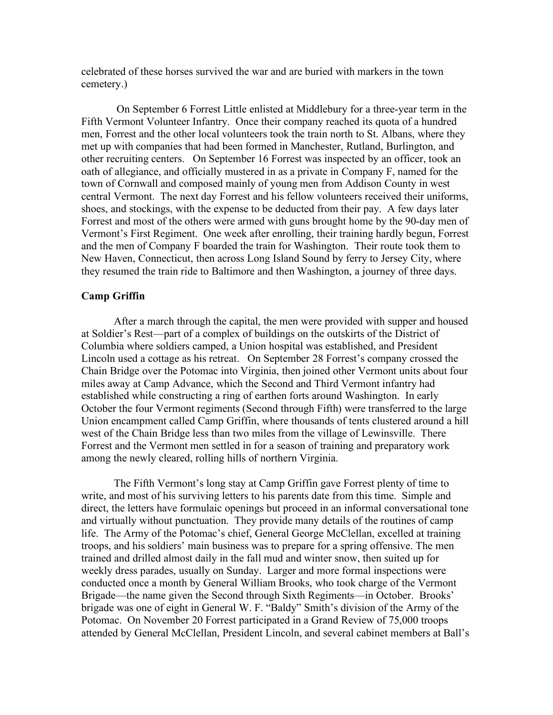celebrated of these horses survived the war and are buried with markers in the town cemetery.)

On September 6 Forrest Little enlisted at Middlebury for a three-year term in the Fifth Vermont Volunteer Infantry. Once their company reached its quota of a hundred men, Forrest and the other local volunteers took the train north to St. Albans, where they met up with companies that had been formed in Manchester, Rutland, Burlington, and other recruiting centers. On September 16 Forrest was inspected by an officer, took an oath of allegiance, and officially mustered in as a private in Company F, named for the town of Cornwall and composed mainly of young men from Addison County in west central Vermont. The next day Forrest and his fellow volunteers received their uniforms, shoes, and stockings, with the expense to be deducted from their pay. A few days later Forrest and most of the others were armed with guns brought home by the 90-day men of Vermont's First Regiment. One week after enrolling, their training hardly begun, Forrest and the men of Company F boarded the train for Washington. Their route took them to New Haven, Connecticut, then across Long Island Sound by ferry to Jersey City, where they resumed the train ride to Baltimore and then Washington, a journey of three days.

#### **Camp Griffin**

After a march through the capital, the men were provided with supper and housed at Soldier's Rest—part of a complex of buildings on the outskirts of the District of Columbia where soldiers camped, a Union hospital was established, and President Lincoln used a cottage as his retreat. On September 28 Forrest's company crossed the Chain Bridge over the Potomac into Virginia, then joined other Vermont units about four miles away at Camp Advance, which the Second and Third Vermont infantry had established while constructing a ring of earthen forts around Washington. In early October the four Vermont regiments (Second through Fifth) were transferred to the large Union encampment called Camp Griffin, where thousands of tents clustered around a hill west of the Chain Bridge less than two miles from the village of Lewinsville. There Forrest and the Vermont men settled in for a season of training and preparatory work among the newly cleared, rolling hills of northern Virginia.

The Fifth Vermont's long stay at Camp Griffin gave Forrest plenty of time to write, and most of his surviving letters to his parents date from this time. Simple and direct, the letters have formulaic openings but proceed in an informal conversational tone and virtually without punctuation. They provide many details of the routines of camp life. The Army of the Potomac's chief, General George McClellan, excelled at training troops, and his soldiers' main business was to prepare for a spring offensive. The men trained and drilled almost daily in the fall mud and winter snow, then suited up for weekly dress parades, usually on Sunday. Larger and more formal inspections were conducted once a month by General William Brooks, who took charge of the Vermont Brigade—the name given the Second through Sixth Regiments—in October. Brooks' brigade was one of eight in General W. F. "Baldy" Smith's division of the Army of the Potomac. On November 20 Forrest participated in a Grand Review of 75,000 troops attended by General McClellan, President Lincoln, and several cabinet members at Ball's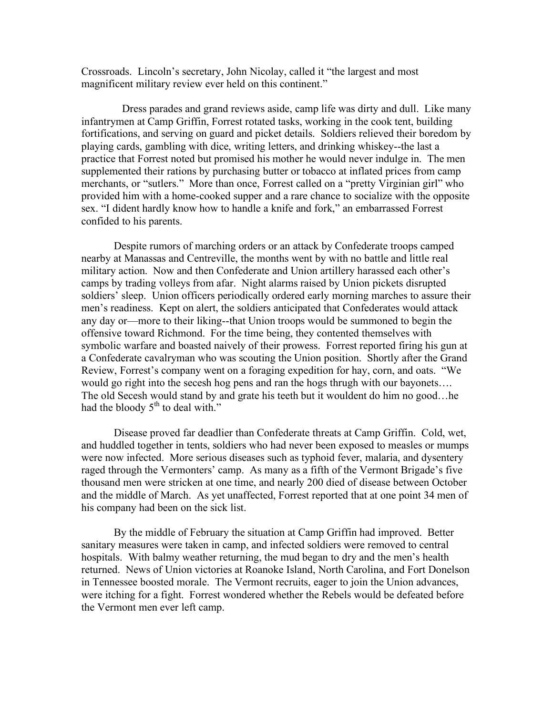Crossroads. Lincoln's secretary, John Nicolay, called it "the largest and most magnificent military review ever held on this continent."

Dress parades and grand reviews aside, camp life was dirty and dull. Like many infantrymen at Camp Griffin, Forrest rotated tasks, working in the cook tent, building fortifications, and serving on guard and picket details. Soldiers relieved their boredom by playing cards, gambling with dice, writing letters, and drinking whiskey--the last a practice that Forrest noted but promised his mother he would never indulge in. The men supplemented their rations by purchasing butter or tobacco at inflated prices from camp merchants, or "sutlers." More than once, Forrest called on a "pretty Virginian girl" who provided him with a home-cooked supper and a rare chance to socialize with the opposite sex. "I dident hardly know how to handle a knife and fork," an embarrassed Forrest confided to his parents.

Despite rumors of marching orders or an attack by Confederate troops camped nearby at Manassas and Centreville, the months went by with no battle and little real military action. Now and then Confederate and Union artillery harassed each other's camps by trading volleys from afar. Night alarms raised by Union pickets disrupted soldiers' sleep. Union officers periodically ordered early morning marches to assure their men's readiness. Kept on alert, the soldiers anticipated that Confederates would attack any day or—more to their liking--that Union troops would be summoned to begin the offensive toward Richmond. For the time being, they contented themselves with symbolic warfare and boasted naively of their prowess. Forrest reported firing his gun at a Confederate cavalryman who was scouting the Union position. Shortly after the Grand Review, Forrest's company went on a foraging expedition for hay, corn, and oats. "We would go right into the secesh hog pens and ran the hogs thrugh with our bayonets…. The old Secesh would stand by and grate his teeth but it wouldent do him no good…he had the bloody  $5<sup>th</sup>$  to deal with."

Disease proved far deadlier than Confederate threats at Camp Griffin. Cold, wet, and huddled together in tents, soldiers who had never been exposed to measles or mumps were now infected. More serious diseases such as typhoid fever, malaria, and dysentery raged through the Vermonters' camp. As many as a fifth of the Vermont Brigade's five thousand men were stricken at one time, and nearly 200 died of disease between October and the middle of March. As yet unaffected, Forrest reported that at one point 34 men of his company had been on the sick list.

By the middle of February the situation at Camp Griffin had improved. Better sanitary measures were taken in camp, and infected soldiers were removed to central hospitals. With balmy weather returning, the mud began to dry and the men's health returned. News of Union victories at Roanoke Island, North Carolina, and Fort Donelson in Tennessee boosted morale. The Vermont recruits, eager to join the Union advances, were itching for a fight. Forrest wondered whether the Rebels would be defeated before the Vermont men ever left camp.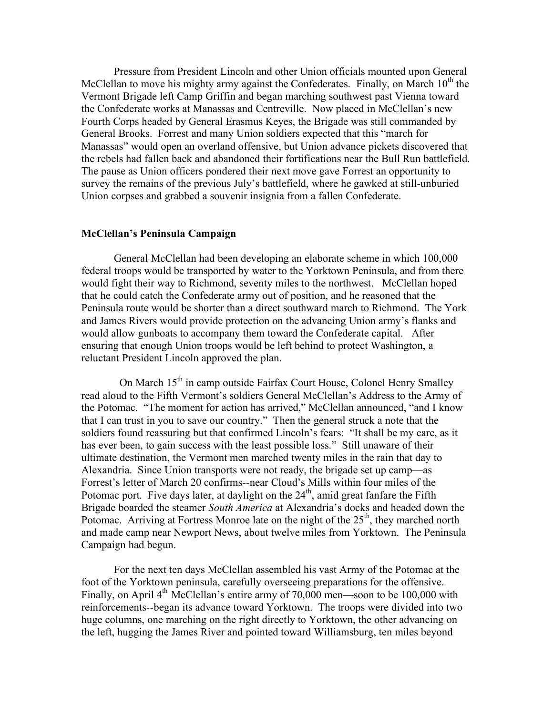Pressure from President Lincoln and other Union officials mounted upon General McClellan to move his mighty army against the Confederates. Finally, on March  $10<sup>th</sup>$  the Vermont Brigade left Camp Griffin and began marching southwest past Vienna toward the Confederate works at Manassas and Centreville. Now placed in McClellan's new Fourth Corps headed by General Erasmus Keyes, the Brigade was still commanded by General Brooks. Forrest and many Union soldiers expected that this "march for Manassas" would open an overland offensive, but Union advance pickets discovered that the rebels had fallen back and abandoned their fortifications near the Bull Run battlefield. The pause as Union officers pondered their next move gave Forrest an opportunity to survey the remains of the previous July's battlefield, where he gawked at still-unburied Union corpses and grabbed a souvenir insignia from a fallen Confederate.

#### **McClellan's Peninsula Campaign**

General McClellan had been developing an elaborate scheme in which 100,000 federal troops would be transported by water to the Yorktown Peninsula, and from there would fight their way to Richmond, seventy miles to the northwest. McClellan hoped that he could catch the Confederate army out of position, and he reasoned that the Peninsula route would be shorter than a direct southward march to Richmond. The York and James Rivers would provide protection on the advancing Union army's flanks and would allow gunboats to accompany them toward the Confederate capital. After ensuring that enough Union troops would be left behind to protect Washington, a reluctant President Lincoln approved the plan.

On March  $15<sup>th</sup>$  in camp outside Fairfax Court House, Colonel Henry Smalley read aloud to the Fifth Vermont's soldiers General McClellan's Address to the Army of the Potomac. "The moment for action has arrived," McClellan announced, "and I know that I can trust in you to save our country." Then the general struck a note that the soldiers found reassuring but that confirmed Lincoln's fears: "It shall be my care, as it has ever been, to gain success with the least possible loss." Still unaware of their ultimate destination, the Vermont men marched twenty miles in the rain that day to Alexandria. Since Union transports were not ready, the brigade set up camp—as Forrest's letter of March 20 confirms--near Cloud's Mills within four miles of the Potomac port. Five days later, at daylight on the  $24<sup>th</sup>$ , amid great fanfare the Fifth Brigade boarded the steamer *South America* at Alexandria's docks and headed down the Potomac. Arriving at Fortress Monroe late on the night of the  $25<sup>th</sup>$ , they marched north and made camp near Newport News, about twelve miles from Yorktown. The Peninsula Campaign had begun.

For the next ten days McClellan assembled his vast Army of the Potomac at the foot of the Yorktown peninsula, carefully overseeing preparations for the offensive. Finally, on April  $4<sup>th</sup>$  McClellan's entire army of 70,000 men—soon to be 100,000 with reinforcements--began its advance toward Yorktown. The troops were divided into two huge columns, one marching on the right directly to Yorktown, the other advancing on the left, hugging the James River and pointed toward Williamsburg, ten miles beyond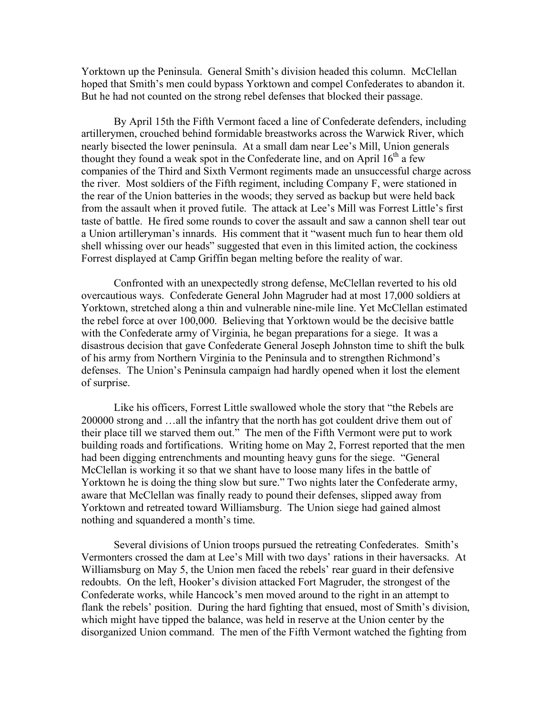Yorktown up the Peninsula. General Smith's division headed this column. McClellan hoped that Smith's men could bypass Yorktown and compel Confederates to abandon it. But he had not counted on the strong rebel defenses that blocked their passage.

By April 15th the Fifth Vermont faced a line of Confederate defenders, including artillerymen, crouched behind formidable breastworks across the Warwick River, which nearly bisected the lower peninsula. At a small dam near Lee's Mill, Union generals thought they found a weak spot in the Confederate line, and on April  $16<sup>th</sup>$  a few companies of the Third and Sixth Vermont regiments made an unsuccessful charge across the river. Most soldiers of the Fifth regiment, including Company F, were stationed in the rear of the Union batteries in the woods; they served as backup but were held back from the assault when it proved futile. The attack at Lee's Mill was Forrest Little's first taste of battle. He fired some rounds to cover the assault and saw a cannon shell tear out a Union artilleryman's innards. His comment that it "wasent much fun to hear them old shell whissing over our heads" suggested that even in this limited action, the cockiness Forrest displayed at Camp Griffin began melting before the reality of war.

Confronted with an unexpectedly strong defense, McClellan reverted to his old overcautious ways. Confederate General John Magruder had at most 17,000 soldiers at Yorktown, stretched along a thin and vulnerable nine-mile line. Yet McClellan estimated the rebel force at over 100,000. Believing that Yorktown would be the decisive battle with the Confederate army of Virginia, he began preparations for a siege. It was a disastrous decision that gave Confederate General Joseph Johnston time to shift the bulk of his army from Northern Virginia to the Peninsula and to strengthen Richmond's defenses. The Union's Peninsula campaign had hardly opened when it lost the element of surprise.

Like his officers, Forrest Little swallowed whole the story that "the Rebels are 200000 strong and …all the infantry that the north has got couldent drive them out of their place till we starved them out." The men of the Fifth Vermont were put to work building roads and fortifications. Writing home on May 2, Forrest reported that the men had been digging entrenchments and mounting heavy guns for the siege. "General McClellan is working it so that we shant have to loose many lifes in the battle of Yorktown he is doing the thing slow but sure." Two nights later the Confederate army, aware that McClellan was finally ready to pound their defenses, slipped away from Yorktown and retreated toward Williamsburg. The Union siege had gained almost nothing and squandered a month's time.

Several divisions of Union troops pursued the retreating Confederates. Smith's Vermonters crossed the dam at Lee's Mill with two days' rations in their haversacks. At Williamsburg on May 5, the Union men faced the rebels' rear guard in their defensive redoubts. On the left, Hooker's division attacked Fort Magruder, the strongest of the Confederate works, while Hancock's men moved around to the right in an attempt to flank the rebels' position. During the hard fighting that ensued, most of Smith's division, which might have tipped the balance, was held in reserve at the Union center by the disorganized Union command. The men of the Fifth Vermont watched the fighting from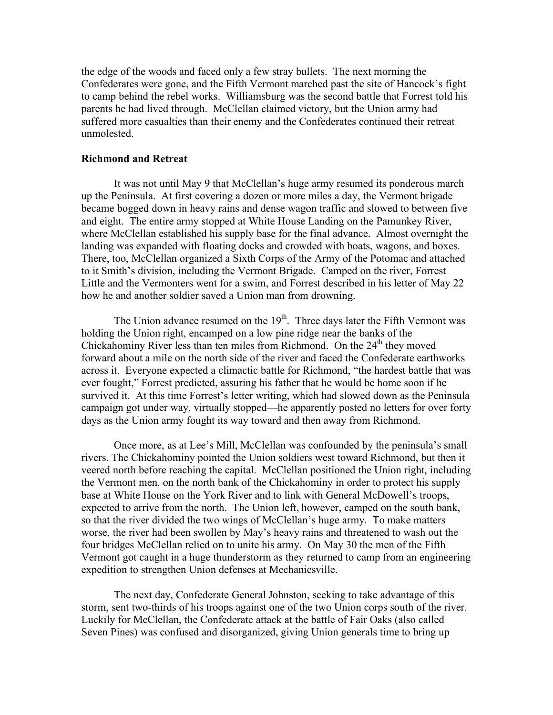the edge of the woods and faced only a few stray bullets. The next morning the Confederates were gone, and the Fifth Vermont marched past the site of Hancock's fight to camp behind the rebel works. Williamsburg was the second battle that Forrest told his parents he had lived through. McClellan claimed victory, but the Union army had suffered more casualties than their enemy and the Confederates continued their retreat unmolested.

#### **Richmond and Retreat**

It was not until May 9 that McClellan's huge army resumed its ponderous march up the Peninsula. At first covering a dozen or more miles a day, the Vermont brigade became bogged down in heavy rains and dense wagon traffic and slowed to between five and eight. The entire army stopped at White House Landing on the Pamunkey River, where McClellan established his supply base for the final advance. Almost overnight the landing was expanded with floating docks and crowded with boats, wagons, and boxes. There, too, McClellan organized a Sixth Corps of the Army of the Potomac and attached to it Smith's division, including the Vermont Brigade. Camped on the river, Forrest Little and the Vermonters went for a swim, and Forrest described in his letter of May 22 how he and another soldier saved a Union man from drowning.

The Union advance resumed on the  $19<sup>th</sup>$ . Three days later the Fifth Vermont was holding the Union right, encamped on a low pine ridge near the banks of the Chickahominy River less than ten miles from Richmond. On the  $24<sup>th</sup>$  they moved forward about a mile on the north side of the river and faced the Confederate earthworks across it. Everyone expected a climactic battle for Richmond, "the hardest battle that was ever fought," Forrest predicted, assuring his father that he would be home soon if he survived it. At this time Forrest's letter writing, which had slowed down as the Peninsula campaign got under way, virtually stopped—he apparently posted no letters for over forty days as the Union army fought its way toward and then away from Richmond.

Once more, as at Lee's Mill, McClellan was confounded by the peninsula's small rivers. The Chickahominy pointed the Union soldiers west toward Richmond, but then it veered north before reaching the capital. McClellan positioned the Union right, including the Vermont men, on the north bank of the Chickahominy in order to protect his supply base at White House on the York River and to link with General McDowell's troops, expected to arrive from the north. The Union left, however, camped on the south bank, so that the river divided the two wings of McClellan's huge army. To make matters worse, the river had been swollen by May's heavy rains and threatened to wash out the four bridges McClellan relied on to unite his army. On May 30 the men of the Fifth Vermont got caught in a huge thunderstorm as they returned to camp from an engineering expedition to strengthen Union defenses at Mechanicsville.

The next day, Confederate General Johnston, seeking to take advantage of this storm, sent two-thirds of his troops against one of the two Union corps south of the river. Luckily for McClellan, the Confederate attack at the battle of Fair Oaks (also called Seven Pines) was confused and disorganized, giving Union generals time to bring up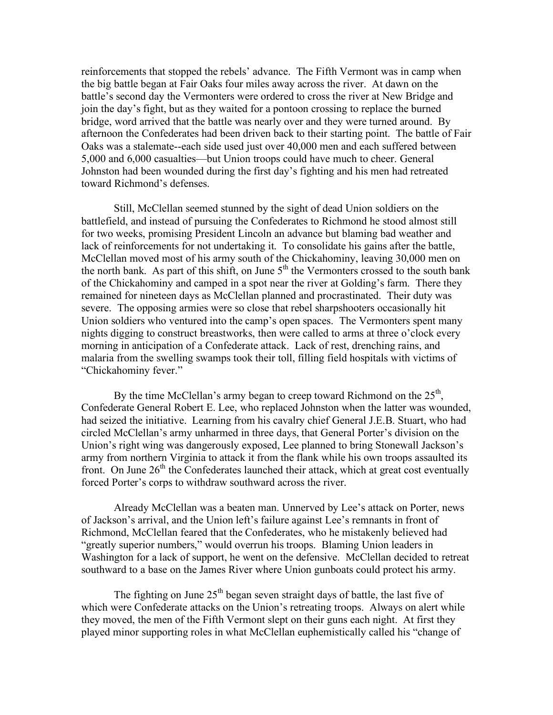reinforcements that stopped the rebels' advance. The Fifth Vermont was in camp when the big battle began at Fair Oaks four miles away across the river. At dawn on the battle's second day the Vermonters were ordered to cross the river at New Bridge and join the day's fight, but as they waited for a pontoon crossing to replace the burned bridge, word arrived that the battle was nearly over and they were turned around. By afternoon the Confederates had been driven back to their starting point. The battle of Fair Oaks was a stalemate--each side used just over 40,000 men and each suffered between 5,000 and 6,000 casualties—but Union troops could have much to cheer. General Johnston had been wounded during the first day's fighting and his men had retreated toward Richmond's defenses.

Still, McClellan seemed stunned by the sight of dead Union soldiers on the battlefield, and instead of pursuing the Confederates to Richmond he stood almost still for two weeks, promising President Lincoln an advance but blaming bad weather and lack of reinforcements for not undertaking it. To consolidate his gains after the battle, McClellan moved most of his army south of the Chickahominy, leaving 30,000 men on the north bank. As part of this shift, on June  $5<sup>th</sup>$  the Vermonters crossed to the south bank of the Chickahominy and camped in a spot near the river at Golding's farm. There they remained for nineteen days as McClellan planned and procrastinated. Their duty was severe. The opposing armies were so close that rebel sharpshooters occasionally hit Union soldiers who ventured into the camp's open spaces. The Vermonters spent many nights digging to construct breastworks, then were called to arms at three o'clock every morning in anticipation of a Confederate attack. Lack of rest, drenching rains, and malaria from the swelling swamps took their toll, filling field hospitals with victims of "Chickahominy fever."

By the time McClellan's army began to creep toward Richmond on the  $25<sup>th</sup>$ , Confederate General Robert E. Lee, who replaced Johnston when the latter was wounded, had seized the initiative. Learning from his cavalry chief General J.E.B. Stuart, who had circled McClellan's army unharmed in three days, that General Porter's division on the Union's right wing was dangerously exposed, Lee planned to bring Stonewall Jackson's army from northern Virginia to attack it from the flank while his own troops assaulted its front. On June  $26<sup>th</sup>$  the Confederates launched their attack, which at great cost eventually forced Porter's corps to withdraw southward across the river.

Already McClellan was a beaten man. Unnerved by Lee's attack on Porter, news of Jackson's arrival, and the Union left's failure against Lee's remnants in front of Richmond, McClellan feared that the Confederates, who he mistakenly believed had "greatly superior numbers," would overrun his troops. Blaming Union leaders in Washington for a lack of support, he went on the defensive. McClellan decided to retreat southward to a base on the James River where Union gunboats could protect his army.

The fighting on June  $25<sup>th</sup>$  began seven straight days of battle, the last five of which were Confederate attacks on the Union's retreating troops. Always on alert while they moved, the men of the Fifth Vermont slept on their guns each night. At first they played minor supporting roles in what McClellan euphemistically called his "change of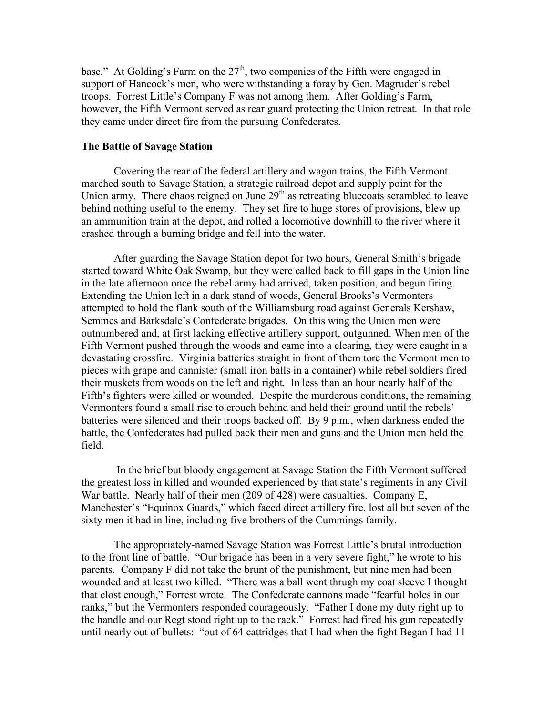base." At Golding's Farm on the  $27<sup>th</sup>$ , two companies of the Fifth were engaged in support of Hancock's men, who were withstanding a foray by Gen. Magruder's rebel troops. Forrest Little's Company F was not among them. After Golding's Farm, however, the Fifth Vermont served as rear guard protecting the Union retreat. In that role they came under direct fire from the pursuing Confederates.

#### **The Battle of Savage Station**

Covering the rear of the federal artillery and wagon trains, the Fifth Vermont marched south to Savage Station, a strategic railroad depot and supply point for the Union army. There chaos reigned on June  $29<sup>th</sup>$  as retreating bluecoats scrambled to leave behind nothing useful to the enemy. They set fire to huge stores of provisions, blew up an ammunition train at the depot, and rolled a locomotive downhill to the river where it crashed through a burning bridge and fell into the water.

After guarding the Savage Station depot for two hours, General Smith's brigade started toward White Oak Swamp, but they were called back to fill gaps in the Union line in the late afternoon once the rebel army had arrived, taken position, and begun firing. Extending the Union left in a dark stand of woods, General Brooks's Vermonters attempted to hold the flank south of the Williamsburg road against Generals Kershaw, Semmes and Barksdale's Confederate brigades. On this wing the Union men were outnumbered and, at first lacking effective artillery support, outgunned. When men of the Fifth Vermont pushed through the woods and came into a clearing, they were caught in a devastating crossfire. Virginia batteries straight in front of them tore the Vermont men to pieces with grape and cannister (small iron balls in a container) while rebel soldiers fired their muskets from woods on the left and right. In less than an hour nearly half of the Fifth's fighters were killed or wounded. Despite the murderous conditions, the remaining Vermonters found a small rise to crouch behind and held their ground until the rebels' batteries were silenced and their troops backed off. By 9 p.m., when darkness ended the battle, the Confederates had pulled back their men and guns and the Union men held the field.

In the brief but bloody engagement at Savage Station the Fifth Vermont suffered the greatest loss in killed and wounded experienced by that state's regiments in any Civil War battle. Nearly half of their men (209 of 428) were casualties. Company E, Manchester's "Equinox Guards," which faced direct artillery fire, lost all but seven of the sixty men it had in line, including five brothers of the Cummings family.

The appropriately-named Savage Station was Forrest Little's brutal introduction to the front line of battle. "Our brigade has been in a very severe fight," he wrote to his parents. Company F did not take the brunt of the punishment, but nine men had been wounded and at least two killed. "There was a ball went thrugh my coat sleeve I thought that clost enough," Forrest wrote. The Confederate cannons made "fearful holes in our ranks," but the Vermonters responded courageously. "Father I done my duty right up to the handle and our Regt stood right up to the rack." Forrest had fired his gun repeatedly until nearly out of bullets: "out of 64 cattridges that I had when the fight Began I had 11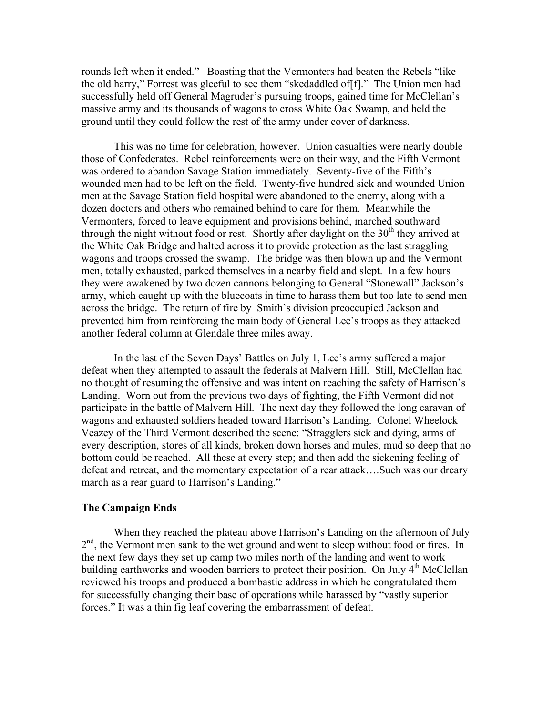rounds left when it ended." Boasting that the Vermonters had beaten the Rebels "like the old harry," Forrest was gleeful to see them "skedaddled of[f]." The Union men had successfully held off General Magruder's pursuing troops, gained time for McClellan's massive army and its thousands of wagons to cross White Oak Swamp, and held the ground until they could follow the rest of the army under cover of darkness.

This was no time for celebration, however. Union casualties were nearly double those of Confederates. Rebel reinforcements were on their way, and the Fifth Vermont was ordered to abandon Savage Station immediately. Seventy-five of the Fifth's wounded men had to be left on the field. Twenty-five hundred sick and wounded Union men at the Savage Station field hospital were abandoned to the enemy, along with a dozen doctors and others who remained behind to care for them. Meanwhile the Vermonters, forced to leave equipment and provisions behind, marched southward through the night without food or rest. Shortly after daylight on the  $30<sup>th</sup>$  they arrived at the White Oak Bridge and halted across it to provide protection as the last straggling wagons and troops crossed the swamp. The bridge was then blown up and the Vermont men, totally exhausted, parked themselves in a nearby field and slept. In a few hours they were awakened by two dozen cannons belonging to General "Stonewall" Jackson's army, which caught up with the bluecoats in time to harass them but too late to send men across the bridge. The return of fire by Smith's division preoccupied Jackson and prevented him from reinforcing the main body of General Lee's troops as they attacked another federal column at Glendale three miles away.

In the last of the Seven Days' Battles on July 1, Lee's army suffered a major defeat when they attempted to assault the federals at Malvern Hill. Still, McClellan had no thought of resuming the offensive and was intent on reaching the safety of Harrison's Landing. Worn out from the previous two days of fighting, the Fifth Vermont did not participate in the battle of Malvern Hill. The next day they followed the long caravan of wagons and exhausted soldiers headed toward Harrison's Landing. Colonel Wheelock Veazey of the Third Vermont described the scene: "Stragglers sick and dying, arms of every description, stores of all kinds, broken down horses and mules, mud so deep that no bottom could be reached. All these at every step; and then add the sickening feeling of defeat and retreat, and the momentary expectation of a rear attack….Such was our dreary march as a rear guard to Harrison's Landing."

#### **The Campaign Ends**

When they reached the plateau above Harrison's Landing on the afternoon of July 2<sup>nd</sup>, the Vermont men sank to the wet ground and went to sleep without food or fires. In the next few days they set up camp two miles north of the landing and went to work building earthworks and wooden barriers to protect their position. On July 4<sup>th</sup> McClellan reviewed his troops and produced a bombastic address in which he congratulated them for successfully changing their base of operations while harassed by "vastly superior forces." It was a thin fig leaf covering the embarrassment of defeat.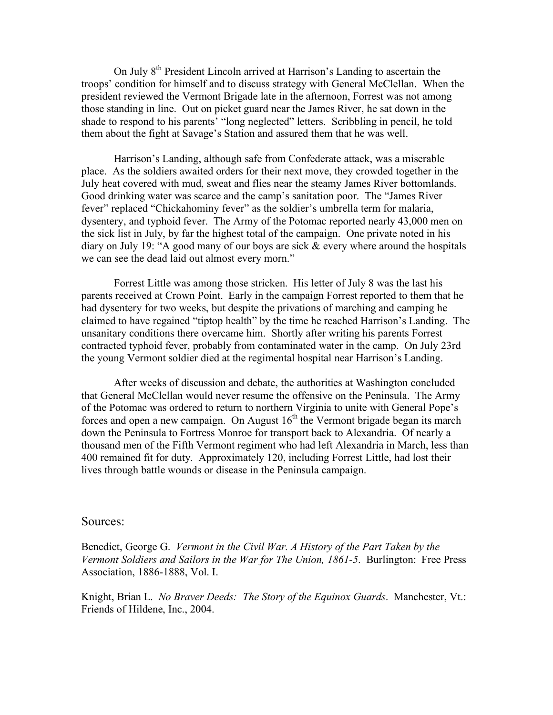On July 8th President Lincoln arrived at Harrison's Landing to ascertain the troops' condition for himself and to discuss strategy with General McClellan. When the president reviewed the Vermont Brigade late in the afternoon, Forrest was not among those standing in line. Out on picket guard near the James River, he sat down in the shade to respond to his parents' "long neglected" letters. Scribbling in pencil, he told them about the fight at Savage's Station and assured them that he was well.

Harrison's Landing, although safe from Confederate attack, was a miserable place. As the soldiers awaited orders for their next move, they crowded together in the July heat covered with mud, sweat and flies near the steamy James River bottomlands. Good drinking water was scarce and the camp's sanitation poor. The "James River fever" replaced "Chickahominy fever" as the soldier's umbrella term for malaria, dysentery, and typhoid fever. The Army of the Potomac reported nearly 43,000 men on the sick list in July, by far the highest total of the campaign. One private noted in his diary on July 19: "A good many of our boys are sick & every where around the hospitals we can see the dead laid out almost every morn."

Forrest Little was among those stricken. His letter of July 8 was the last his parents received at Crown Point. Early in the campaign Forrest reported to them that he had dysentery for two weeks, but despite the privations of marching and camping he claimed to have regained "tiptop health" by the time he reached Harrison's Landing. The unsanitary conditions there overcame him. Shortly after writing his parents Forrest contracted typhoid fever, probably from contaminated water in the camp. On July 23rd the young Vermont soldier died at the regimental hospital near Harrison's Landing.

After weeks of discussion and debate, the authorities at Washington concluded that General McClellan would never resume the offensive on the Peninsula. The Army of the Potomac was ordered to return to northern Virginia to unite with General Pope's forces and open a new campaign. On August  $16<sup>th</sup>$  the Vermont brigade began its march down the Peninsula to Fortress Monroe for transport back to Alexandria. Of nearly a thousand men of the Fifth Vermont regiment who had left Alexandria in March, less than 400 remained fit for duty. Approximately 120, including Forrest Little, had lost their lives through battle wounds or disease in the Peninsula campaign.

#### Sources:

Benedict, George G. *Vermont in the Civil War. A History of the Part Taken by the Vermont Soldiers and Sailors in the War for The Union, 1861-5*. Burlington: Free Press Association, 1886-1888, Vol. I.

Knight, Brian L. *No Braver Deeds: The Story of the Equinox Guards*. Manchester, Vt.: Friends of Hildene, Inc., 2004.